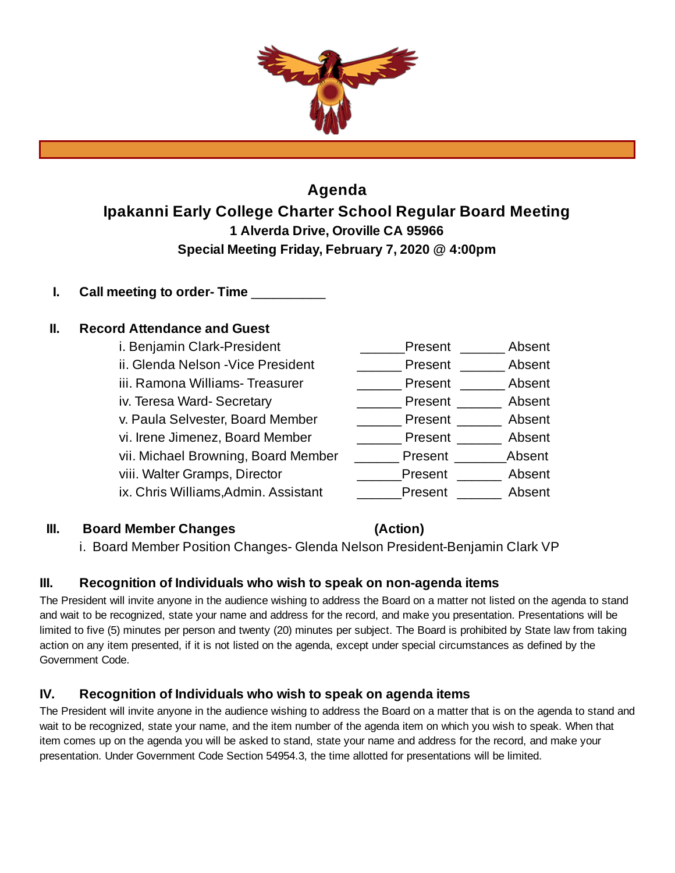

# **Agenda Ipakanni Early College Charter School Regular Board Meeting 1 Alverda Drive, Oroville CA 95966 Special Meeting Friday, February 7, 2020 @ 4:00pm**

**I. Call meeting to order- Time** \_\_\_\_\_\_\_\_\_\_

# **II. Record Attendance and Guest**

| i. Benjamin Clark-President          | Present | Absent |
|--------------------------------------|---------|--------|
| ii. Glenda Nelson - Vice President   | Present | Absent |
| iii. Ramona Williams- Treasurer      | Present | Absent |
| iv. Teresa Ward-Secretary            | Present | Absent |
| v. Paula Selvester, Board Member     | Present | Absent |
| vi. Irene Jimenez, Board Member      | Present | Absent |
| vii. Michael Browning, Board Member  | Present | Absent |
| viii. Walter Gramps, Director        | Present | Absent |
| ix. Chris Williams, Admin. Assistant | Present | Absent |

# **III. Board Member Changes (Action)**

i. Board Member Position Changes- Glenda Nelson President-Benjamin Clark VP

# **III. Recognition of Individuals who wish to speak on non-agenda items**

The President will invite anyone in the audience wishing to address the Board on a matter not listed on the agenda to stand and wait to be recognized, state your name and address for the record, and make you presentation. Presentations will be limited to five (5) minutes per person and twenty (20) minutes per subject. The Board is prohibited by State law from taking action on any item presented, if it is not listed on the agenda, except under special circumstances as defined by the Government Code.

# **IV. Recognition of Individuals who wish to speak on agenda items**

The President will invite anyone in the audience wishing to address the Board on a matter that is on the agenda to stand and wait to be recognized, state your name, and the item number of the agenda item on which you wish to speak. When that item comes up on the agenda you will be asked to stand, state your name and address for the record, and make your presentation. Under Government Code Section 54954.3, the time allotted for presentations will be limited.